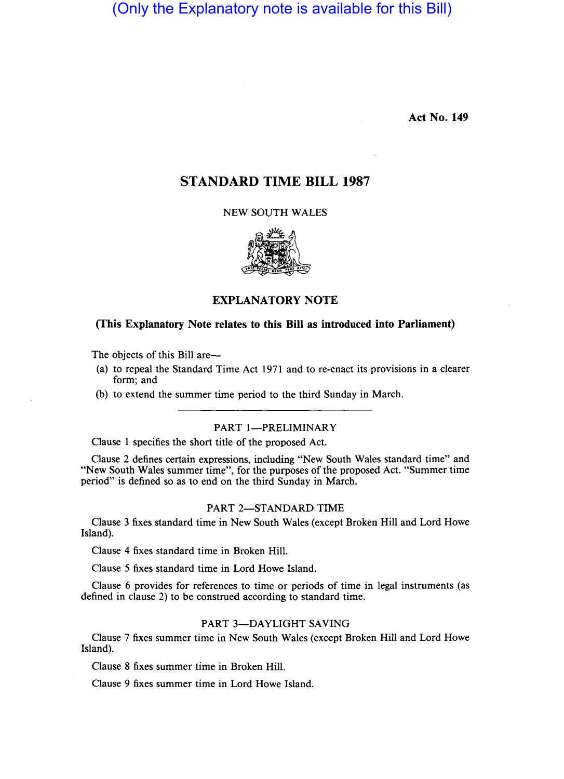(Only the Explanatory note is available for this Bill)

Act No. 149

# STANDARD TIME BILL 1987

NEW SOUTH WALES



EXPLANATORY NOTE

## (This Explanatory Note relates to this Bill as introduced into Parliament)

The objects of this Bill are-

- (a) to repeal the Standard Time Act 1971 and to re-enact its provisions in a clearer form; and
- (b) to extend the summer time period to the third Sunday in March.

### PART 1-PRELIMINARY

Clause 1 specifies the short title of the proposed Act.

Clause 2 defines certain expressions, including "New South Wales standard time" and "New South Wales summer time", for the purposes of the proposed Act. "Summer time period" is defined so as to end on the third Sunday in March.

### PART 2-STANDARD TIME

Clause 3 fixes standard time in New South Wales (except Broken Hill and Lord Howe Island).

Clause 4 fixes standard time in Broken Hill.

Clause 5 fixes standard time in Lord Howe Island.

Clause 6 provides for references to time or periods of time in legal instruments (as defined in clause 2) to be construed according to standard time.

#### PART 3-DAYLIGHT SAVING

Clause 7 fixes summer time in New South Wales (except Broken Hill and Lord Howe Island).

Clause 8 fixes summer time in Broken Hill.

Clause 9 fixes summer time in Lord Howe Island.